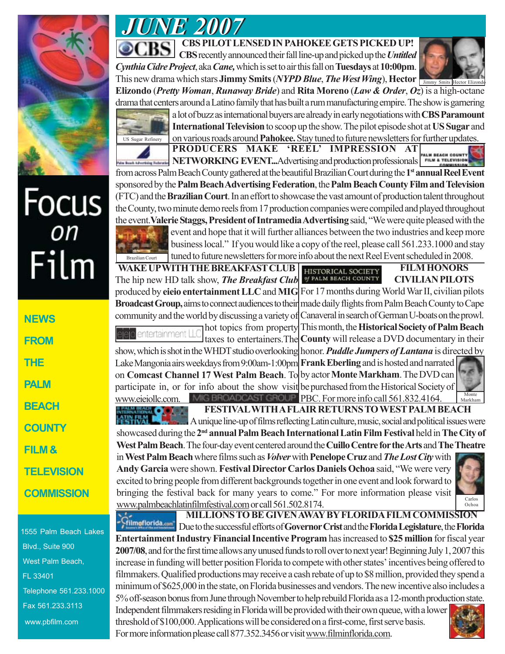

# Focus<br>
Film

| NEWS              |
|-------------------|
| FROM              |
| <b>THE</b>        |
| PALM              |
| BEACH             |
| <b>COUNTY</b>     |
| FILM &            |
| <b>TELEVISION</b> |
| <b>COMMISSION</b> |

1555 Palm Beach Lakes Blvd., Suite 900 West Palm Beach, FL 33401 Telephone 561.233.1000 Fax 561.233.3113 www.pbfilm.com

# *JUNE 2007 JUNE 2007*

**CBS PILOT LENSED IN PAHOKEE GETS PICKED UP! CBS** recently announced their fall line-up and picked up the *Untitled*

*Cynthia Cidre Project*, aka *Cane,* which is set to air this fall on **Tuesdays** at **10:00pm**. This new drama which stars **Jimmy Smits** (*NYPD Blue*, *The West Wing*), **Hector** Jimmy Smits Hector Elizondo **Elizondo** (*Pretty Woman*, *Runaway Bride*) and **Rita Moreno** (*Law & Order*, *Oz*) is a high-octane drama that centers around a Latino family that has built a rum manufacturing empire. The show is garnering



a lot of buzz as international buyers are already in early negotiations with **CBS Paramount International Television** to scoop up the show.The pilot episode shot at **US Sugar** and on various roads around **Pahokee.** Stay tuned to future newsletters for further updates.

**PRODUCERS MAKE 'REEL' IMPRESSION AT NETWORKING EVENT...**Advertising and production professionals **FILM & TELEVISIO** from across Palm Beach County gathered at the beautiful Brazilian Court during the **1st annual Reel Event** sponsored by the **Palm Beach Advertising Federation**, the **Palm Beach County Film and Television** (FTC) and the **Brazilian Court**. In an effort to showcase the vast amount of production talent throughout the County, two minute demo reels from 17 production companies were compiled and played throughout the event.**Valerie Staggs, President of Intramedia Advertising** said, "We were quite pleased with the



event and hope that it will further alliances between the two industries and keep more business local." If you would like a copy of the reel, please call 561.233.1000 and stay tuned to future newsletters for more info about the next Reel Event scheduled in 2008.

**FILM HONORS WAKE UP WITH THE BREAKFAST CLUB** HISTORICAL SOCIETY of PALM BEACH COUNTY The hip new HD talk show, *The Breakfast Club* **CIVILIAN PILOTS** produced by **eieio entertainmentLLC** and **MIG** For 17 months during World War II, civilian pilots **Broadcast Group,** aims to connect audiences to their made daily flights from Palm Beach County to Cape community and the world by discussing a variety of Canaveral in search of German U-boats on the prowl.

hot topics from property This month, the **Historical Society of Palm Beach** ntertainment Li taxes to entertainers.The **County** will release a DVD documentary in their show, which is shot in the WHDT studio overlooking honor. *Puddle Jumpers of Lantana* is directed by Lake Mangonia airs weekdays from 9:00am-1:00pm **Frank Eberling** and is hosted and narrated

on **Comcast Channel 17 West Palm Beach**. To by actor **Monte Markham**. The DVD can participate in, or for info about the show visit be purchased from the Historical Society of www.eieiollc.com. MIG BROADCAST GROUP PBC. For more info call 561.832.4164.

Monte Markham

**FESTIVAL WITH A FLAIR RETURNS TO WEST PALM BEACH**

A unique line-up of films reflecting Latin culture, music, social and political issues were showcased during the **2nd annualPalm Beach International Latin Film Festival** held in **The City of West Palm Beach**. The four-day event centered around the **Cuillo Centre for the Arts** and **The Theatre**

in **West Palm Beach** where films such as *Volver* with **Penelope Cruz** and *The Lost City* with **Andy Garcia** were shown. **Festival Director Carlos Daniels Ochoa** said, "We were very excited to bring people from different backgrounds together in one event and look forward to bringing the festival back for many years to come." For more information please visit www.palmbeachlatinfilmfestival.com or call 561.502.8174.



**MILLIONS TO BE GIVEN AWAY BY FLORIDA FILM COMMISSION** -Gilmoflorida.com Due to the successful efforts of **Governor Crist** and the **Florida Legislature**, the **Florida**

**Entertainment Industry Financial Incentive Program** has increased to **\$25 million** for fiscal year **2007/08**, and for the first time allows any unused funds to roll over to next year! Beginning July 1, 2007 this increase in funding will better position Florida to compete with other states' incentives being offered to filmmakers. Qualified productions may receive a cash rebate of up to \$8 million, provided they spend a minimum of \$625,000 in the state, on Florida businesses and vendors. The new incentive also includes a 5% off-season bonus from June through November to help rebuild Florida as a 12-month production state.

Independent filmmakers residing in Florida will be provided with their own queue, with a lower threshold of \$100,000. Applications will be considered on a first-come, first serve basis. For more information please call 877.352.3456 or visit www.filminflorida.com.